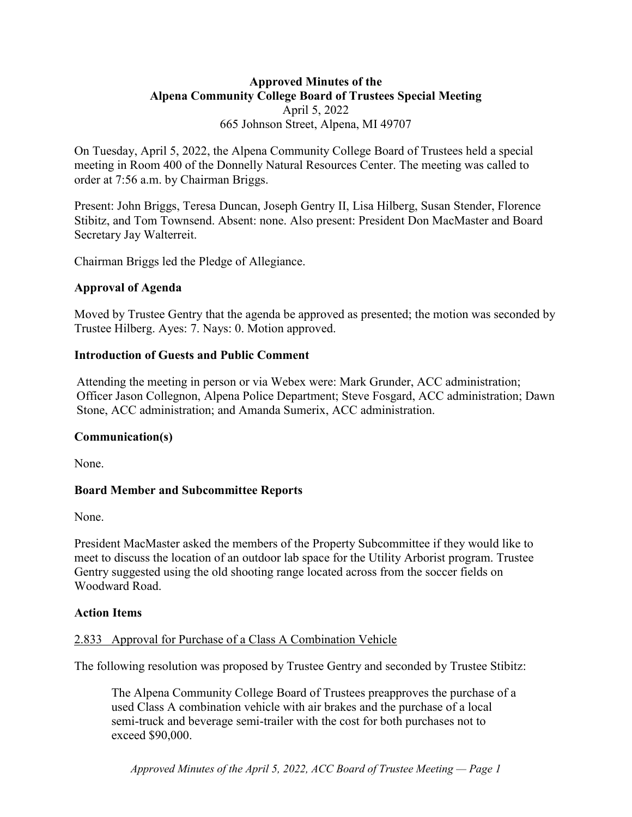# **Approved Minutes of the Alpena Community College Board of Trustees Special Meeting** April 5, 2022 665 Johnson Street, Alpena, MI 49707

On Tuesday, April 5, 2022, the Alpena Community College Board of Trustees held a special meeting in Room 400 of the Donnelly Natural Resources Center. The meeting was called to order at 7:56 a.m. by Chairman Briggs.

Present: John Briggs, Teresa Duncan, Joseph Gentry II, Lisa Hilberg, Susan Stender, Florence Stibitz, and Tom Townsend. Absent: none. Also present: President Don MacMaster and Board Secretary Jay Walterreit.

Chairman Briggs led the Pledge of Allegiance.

### **Approval of Agenda**

Moved by Trustee Gentry that the agenda be approved as presented; the motion was seconded by Trustee Hilberg. Ayes: 7. Nays: 0. Motion approved.

### **Introduction of Guests and Public Comment**

Attending the meeting in person or via Webex were: Mark Grunder, ACC administration; Officer Jason Collegnon, Alpena Police Department; Steve Fosgard, ACC administration; Dawn Stone, ACC administration; and Amanda Sumerix, ACC administration.

## **Communication(s)**

None.

## **Board Member and Subcommittee Reports**

None.

President MacMaster asked the members of the Property Subcommittee if they would like to meet to discuss the location of an outdoor lab space for the Utility Arborist program. Trustee Gentry suggested using the old shooting range located across from the soccer fields on Woodward Road.

#### **Action Items**

#### 2.833 Approval for Purchase of a Class A Combination Vehicle

The following resolution was proposed by Trustee Gentry and seconded by Trustee Stibitz:

The Alpena Community College Board of Trustees preapproves the purchase of a used Class A combination vehicle with air brakes and the purchase of a local semi-truck and beverage semi-trailer with the cost for both purchases not to exceed \$90,000.

*Approved Minutes of the April 5, 2022, ACC Board of Trustee Meeting — Page 1*